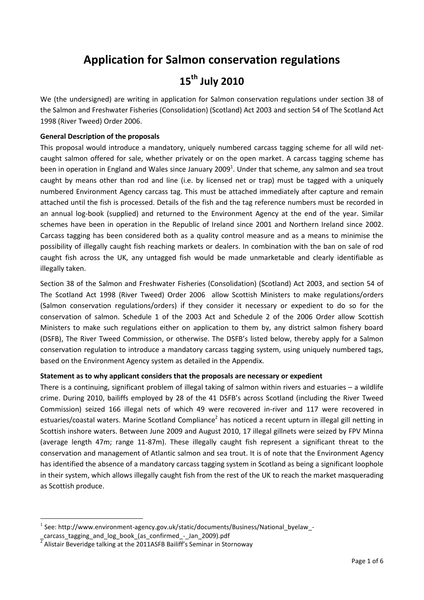# **Application for Salmon conservation regulations**

# **15th July 2010**

We (the undersigned) are writing in application for Salmon conservation regulations under section 38 of the Salmon and Freshwater Fisheries (Consolidation) (Scotland) Act 2003 and section 54 of The Scotland Act 1998 (River Tweed) Order 2006.

## **General Description of the proposals**

This proposal would introduce a mandatory, uniquely numbered carcass tagging scheme for all wild netcaught salmon offered for sale, whether privately or on the open market. A carcass tagging scheme has been in operation in England and Wales since January 2009<sup>1</sup>. Under that scheme, any salmon and sea trout caught by means other than rod and line (i.e. by licensed net or trap) must be tagged with a uniquely numbered Environment Agency carcass tag. This must be attached immediately after capture and remain attached until the fish is processed. Details of the fish and the tag reference numbers must be recorded in an annual log-book (supplied) and returned to the Environment Agency at the end of the year. Similar schemes have been in operation in the Republic of Ireland since 2001 and Northern Ireland since 2002. Carcass tagging has been considered both as a quality control measure and as a means to minimise the possibility of illegally caught fish reaching markets or dealers. In combination with the ban on sale of rod caught fish across the UK, any untagged fish would be made unmarketable and clearly identifiable as illegally taken.

Section 38 of the Salmon and Freshwater Fisheries (Consolidation) (Scotland) Act 2003, and section 54 of The Scotland Act 1998 (River Tweed) Order 2006 allow Scottish Ministers to make regulations/orders (Salmon conservation regulations/orders) if they consider it necessary or expedient to do so for the conservation of salmon. Schedule 1 of the 2003 Act and Schedule 2 of the 2006 Order allow Scottish Ministers to make such regulations either on application to them by, any district salmon fishery board (DSFB), The River Tweed Commission, or otherwise. The DSFB's listed below, thereby apply for a Salmon conservation regulation to introduce a mandatory carcass tagging system, using uniquely numbered tags, based on the Environment Agency system as detailed in the Appendix.

#### **Statement as to why applicant considers that the proposals are necessary or expedient**

There is a continuing, significant problem of illegal taking of salmon within rivers and estuaries – a wildlife crime. During 2010, bailiffs employed by 28 of the 41 DSFB's across Scotland (including the River Tweed Commission) seized 166 illegal nets of which 49 were recovered in-river and 117 were recovered in estuaries/coastal waters. Marine Scotland Compliance<sup>2</sup> has noticed a recent upturn in illegal gill netting in Scottish inshore waters. Between June 2009 and August 2010, 17 illegal gillnets were seized by FPV Minna (average length 47m; range 11-87m). These illegally caught fish represent a significant threat to the conservation and management of Atlantic salmon and sea trout. It is of note that the Environment Agency has identified the absence of a mandatory carcass tagging system in Scotland as being a significant loophole in their system, which allows illegally caught fish from the rest of the UK to reach the market masquerading as Scottish produce.

**<sup>.</sup>** 1 See: http://www.environment-agency.gov.uk/static/documents/Business/National\_byelaw\_-

carcass tagging and log\_book\_(as\_confirmed\_-\_Jan\_2009).pdf

<sup>&</sup>lt;sup>2</sup> Alistair Beveridge talking at the 2011ASFB Bailiff's Seminar in Stornoway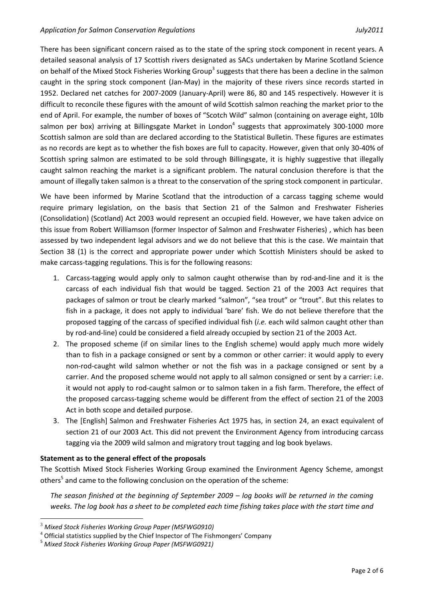There has been significant concern raised as to the state of the spring stock component in recent years. A detailed seasonal analysis of 17 Scottish rivers designated as SACs undertaken by Marine Scotland Science on behalf of the Mixed Stock Fisheries Working Group<sup>3</sup> suggests that there has been a decline in the salmon caught in the spring stock component (Jan-May) in the majority of these rivers since records started in 1952. Declared net catches for 2007-2009 (January-April) were 86, 80 and 145 respectively. However it is difficult to reconcile these figures with the amount of wild Scottish salmon reaching the market prior to the end of April. For example, the number of boxes of "Scotch Wild" salmon (containing on average eight, 10lb salmon per box) arriving at Billingsgate Market in London<sup>4</sup> suggests that approximately 300-1000 more Scottish salmon are sold than are declared according to the Statistical Bulletin. These figures are estimates as no records are kept as to whether the fish boxes are full to capacity. However, given that only 30-40% of Scottish spring salmon are estimated to be sold through Billingsgate, it is highly suggestive that illegally caught salmon reaching the market is a significant problem. The natural conclusion therefore is that the amount of illegally taken salmon is a threat to the conservation of the spring stock component in particular.

We have been informed by Marine Scotland that the introduction of a carcass tagging scheme would require primary legislation, on the basis that Section 21 of the Salmon and Freshwater Fisheries (Consolidation) (Scotland) Act 2003 would represent an occupied field. However, we have taken advice on this issue from Robert Williamson (former Inspector of Salmon and Freshwater Fisheries) , which has been assessed by two independent legal advisors and we do not believe that this is the case. We maintain that Section 38 (1) is the correct and appropriate power under which Scottish Ministers should be asked to make carcass-tagging regulations. This is for the following reasons:

- 1. Carcass-tagging would apply only to salmon caught otherwise than by rod-and-line and it is the carcass of each individual fish that would be tagged. Section 21 of the 2003 Act requires that packages of salmon or trout be clearly marked "salmon", "sea trout" or "trout". But this relates to fish in a package, it does not apply to individual 'bare' fish. We do not believe therefore that the proposed tagging of the carcass of specified individual fish (*i.e.* each wild salmon caught other than by rod-and-line) could be considered a field already occupied by section 21 of the 2003 Act.
- 2. The proposed scheme (if on similar lines to the English scheme) would apply much more widely than to fish in a package consigned or sent by a common or other carrier: it would apply to every non-rod-caught wild salmon whether or not the fish was in a package consigned or sent by a carrier. And the proposed scheme would not apply to all salmon consigned or sent by a carrier: i.e. it would not apply to rod-caught salmon or to salmon taken in a fish farm. Therefore, the effect of the proposed carcass-tagging scheme would be different from the effect of section 21 of the 2003 Act in both scope and detailed purpose.
- 3. The [English] Salmon and Freshwater Fisheries Act 1975 has, in section 24, an exact equivalent of section 21 of our 2003 Act. This did not prevent the Environment Agency from introducing carcass tagging via the 2009 wild salmon and migratory trout tagging and log book byelaws.

#### **Statement as to the general effect of the proposals**

The Scottish Mixed Stock Fisheries Working Group examined the Environment Agency Scheme, amongst others<sup>5</sup> and came to the following conclusion on the operation of the scheme:

*The season finished at the beginning of September 2009 – log books will be returned in the coming weeks. The log book has a sheet to be completed each time fishing takes place with the start time and* 

**.** 

<sup>3</sup> *Mixed Stock Fisheries Working Group Paper (MSFWG0910)*

 $4$  Official statistics supplied by the Chief Inspector of The Fishmongers' Company

<sup>5</sup> *Mixed Stock Fisheries Working Group Paper (MSFWG0921)*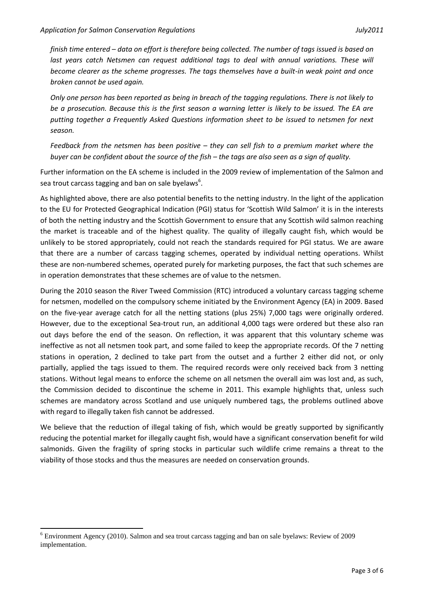*finish time entered – data on effort is therefore being collected. The number of tags issued is based on*  last years catch Netsmen can request additional tags to deal with annual variations. These will *become clearer as the scheme progresses. The tags themselves have a built-in weak point and once broken cannot be used again.* 

*Only one person has been reported as being in breach of the tagging regulations. There is not likely to be a prosecution. Because this is the first season a warning letter is likely to be issued. The EA are putting together a Frequently Asked Questions information sheet to be issued to netsmen for next season.* 

*Feedback from the netsmen has been positive – they can sell fish to a premium market where the buyer can be confident about the source of the fish – the tags are also seen as a sign of quality.* 

Further information on the EA scheme is included in the 2009 review of implementation of the Salmon and sea trout carcass tagging and ban on sale byelaws<sup>6</sup>.

As highlighted above, there are also potential benefits to the netting industry. In the light of the application to the EU for Protected Geographical Indication (PGI) status for 'Scottish Wild Salmon' it is in the interests of both the netting industry and the Scottish Government to ensure that any Scottish wild salmon reaching the market is traceable and of the highest quality. The quality of illegally caught fish, which would be unlikely to be stored appropriately, could not reach the standards required for PGI status. We are aware that there are a number of carcass tagging schemes, operated by individual netting operations. Whilst these are non-numbered schemes, operated purely for marketing purposes, the fact that such schemes are in operation demonstrates that these schemes are of value to the netsmen.

During the 2010 season the River Tweed Commission (RTC) introduced a voluntary carcass tagging scheme for netsmen, modelled on the compulsory scheme initiated by the Environment Agency (EA) in 2009. Based on the five-year average catch for all the netting stations (plus 25%) 7,000 tags were originally ordered. However, due to the exceptional Sea-trout run, an additional 4,000 tags were ordered but these also ran out days before the end of the season. On reflection, it was apparent that this voluntary scheme was ineffective as not all netsmen took part, and some failed to keep the appropriate records. Of the 7 netting stations in operation, 2 declined to take part from the outset and a further 2 either did not, or only partially, applied the tags issued to them. The required records were only received back from 3 netting stations. Without legal means to enforce the scheme on all netsmen the overall aim was lost and, as such, the Commission decided to discontinue the scheme in 2011. This example highlights that, unless such schemes are mandatory across Scotland and use uniquely numbered tags, the problems outlined above with regard to illegally taken fish cannot be addressed.

We believe that the reduction of illegal taking of fish, which would be greatly supported by significantly reducing the potential market for illegally caught fish, would have a significant conservation benefit for wild salmonids. Given the fragility of spring stocks in particular such wildlife crime remains a threat to the viability of those stocks and thus the measures are needed on conservation grounds.

**.** 

<sup>6</sup> Environment Agency (2010). Salmon and sea trout carcass tagging and ban on sale byelaws: Review of 2009 implementation.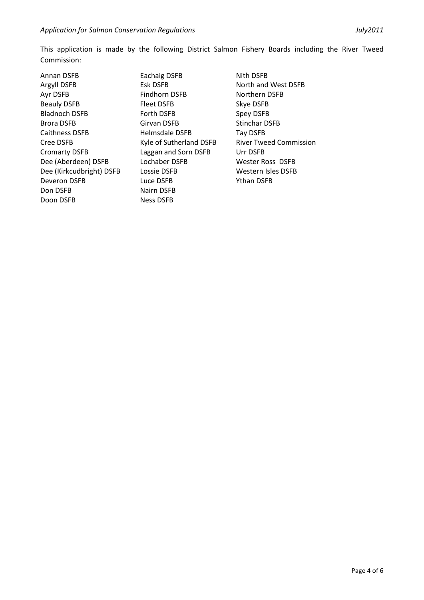This application is made by the following District Salmon Fishery Boards including the River Tweed Commission:

Annan DSFB Argyll DSFB Ayr DSFB Beauly DSFB Bladnoch DSFB Brora DSFB Caithness DSFB Cree DSFB Cromarty DSFB Dee (Aberdeen) DSFB Dee (Kirkcudbright) DSFB Deveron DSFB Don DSFB Doon DSFB

Eachaig DSFB Esk DSFB Findhorn DSFB Fleet DSFB Forth DSFB Girvan DSFB Helmsdale DSFB Kyle of Sutherland DSFB Laggan and Sorn DSFB Lochaber DSFB Lossie DSFB Luce DSFB Nairn DSFB Ness DSFB

Nith DSFB North and West DSFB Northern DSFB Skye DSFB Spey DSFB Stinchar DSFB Tay DSFB River Tweed Commission Urr DSFB Wester Ross DSFB Western Isles DSFB Ythan DSFB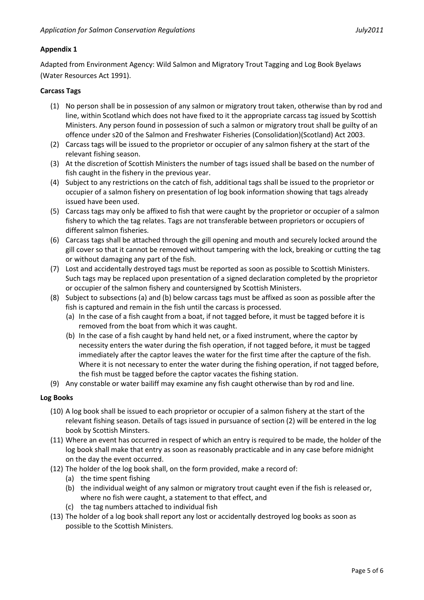### **Appendix 1**

Adapted from Environment Agency: Wild Salmon and Migratory Trout Tagging and Log Book Byelaws (Water Resources Act 1991).

#### **Carcass Tags**

- (1) No person shall be in possession of any salmon or migratory trout taken, otherwise than by rod and line, within Scotland which does not have fixed to it the appropriate carcass tag issued by Scottish Ministers. Any person found in possession of such a salmon or migratory trout shall be guilty of an offence under s20 of the Salmon and Freshwater Fisheries (Consolidation)(Scotland) Act 2003.
- (2) Carcass tags will be issued to the proprietor or occupier of any salmon fishery at the start of the relevant fishing season.
- (3) At the discretion of Scottish Ministers the number of tags issued shall be based on the number of fish caught in the fishery in the previous year.
- (4) Subject to any restrictions on the catch of fish, additional tags shall be issued to the proprietor or occupier of a salmon fishery on presentation of log book information showing that tags already issued have been used.
- (5) Carcass tags may only be affixed to fish that were caught by the proprietor or occupier of a salmon fishery to which the tag relates. Tags are not transferable between proprietors or occupiers of different salmon fisheries.
- (6) Carcass tags shall be attached through the gill opening and mouth and securely locked around the gill cover so that it cannot be removed without tampering with the lock, breaking or cutting the tag or without damaging any part of the fish.
- (7) Lost and accidentally destroyed tags must be reported as soon as possible to Scottish Ministers. Such tags may be replaced upon presentation of a signed declaration completed by the proprietor or occupier of the salmon fishery and countersigned by Scottish Ministers.
- (8) Subject to subsections (a) and (b) below carcass tags must be affixed as soon as possible after the fish is captured and remain in the fish until the carcass is processed.
	- (a) In the case of a fish caught from a boat, if not tagged before, it must be tagged before it is removed from the boat from which it was caught.
	- (b) In the case of a fish caught by hand held net, or a fixed instrument, where the captor by necessity enters the water during the fish operation, if not tagged before, it must be tagged immediately after the captor leaves the water for the first time after the capture of the fish. Where it is not necessary to enter the water during the fishing operation, if not tagged before, the fish must be tagged before the captor vacates the fishing station.
- (9) Any constable or water bailiff may examine any fish caught otherwise than by rod and line.

#### **Log Books**

- (10) A log book shall be issued to each proprietor or occupier of a salmon fishery at the start of the relevant fishing season. Details of tags issued in pursuance of section (2) will be entered in the log book by Scottish Minsters.
- (11) Where an event has occurred in respect of which an entry is required to be made, the holder of the log book shall make that entry as soon as reasonably practicable and in any case before midnight on the day the event occurred.
- (12) The holder of the log book shall, on the form provided, make a record of:
	- (a) the time spent fishing
	- (b) the individual weight of any salmon or migratory trout caught even if the fish is released or, where no fish were caught, a statement to that effect, and
	- (c) the tag numbers attached to individual fish
- (13) The holder of a log book shall report any lost or accidentally destroyed log books as soon as possible to the Scottish Ministers.